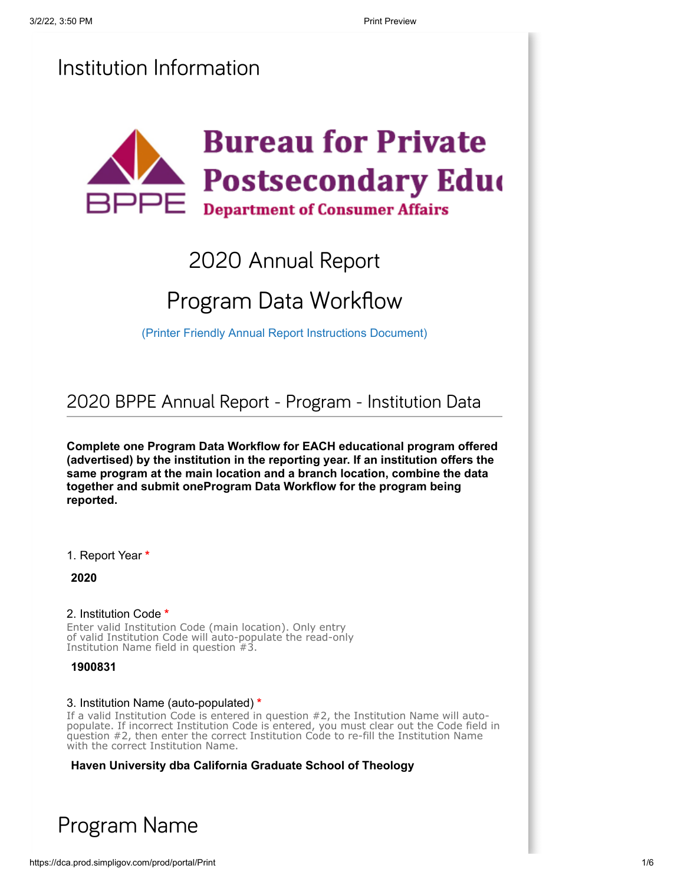## Institution Information



# 2020 Annual Report

# Program Data Workflow

[\(Printer Friendly Annual Report Instructions Document\)](https://www.bppe.ca.gov/annual_report/instructions.pdf)

2020 BPPE Annual Report - Program - Institution Data

**Complete one Program Data Workflow for EACH educational program offered (advertised) by the institution in the reporting year. If an institution offers the same program at the main location and a branch location, combine the data together and submit oneProgram Data Workflow for the program being reported.**

1. Report Year **\***

**2020**

#### 2. Institution Code **\***

Enter valid Institution Code (main location). Only entry of valid Institution Code will auto-populate the read-only Institution Name field in question #3.

**1900831**

#### 3. Institution Name (auto-populated) **\***

If a valid Institution Code is entered in question #2, the Institution Name will autopopulate. If incorrect Institution Code is entered, you must clear out the Code field in question #2, then enter the correct Institution Code to re-fill the Institution Name with the correct Institution Name.

**Haven University dba California Graduate School of Theology**

## Program Name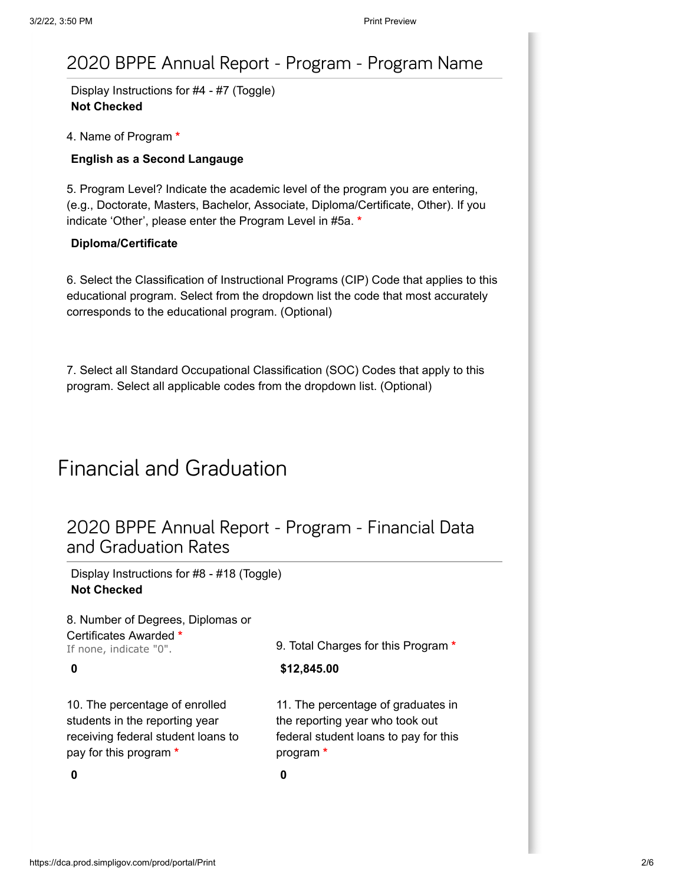## 2020 BPPE Annual Report - Program - Program Name

Display Instructions for #4 - #7 (Toggle) **Not Checked**

#### 4. Name of Program **\***

#### **English as a Second Langauge**

5. Program Level? Indicate the academic level of the program you are entering, (e.g., Doctorate, Masters, Bachelor, Associate, Diploma/Certificate, Other). If you indicate 'Other', please enter the Program Level in #5a. **\***

#### **Diploma/Certificate**

6. Select the Classification of Instructional Programs (CIP) Code that applies to this educational program. Select from the dropdown list the code that most accurately corresponds to the educational program. (Optional)

7. Select all Standard Occupational Classification (SOC) Codes that apply to this program. Select all applicable codes from the dropdown list. (Optional)

## Financial and Graduation

## 2020 BPPE Annual Report - Program - Financial Data and Graduation Rates

Display Instructions for #8 - #18 (Toggle) **Not Checked**

| 8. Number of Degrees, Diplomas or                                                                                                |                                                                                                                             |
|----------------------------------------------------------------------------------------------------------------------------------|-----------------------------------------------------------------------------------------------------------------------------|
| Certificates Awarded *<br>If none, indicate "0".                                                                                 | 9. Total Charges for this Program *                                                                                         |
| 0                                                                                                                                | \$12,845.00                                                                                                                 |
| 10. The percentage of enrolled<br>students in the reporting year<br>receiving federal student loans to<br>pay for this program * | 11. The percentage of graduates in<br>the reporting year who took out<br>federal student loans to pay for this<br>program * |
| 0                                                                                                                                | 0                                                                                                                           |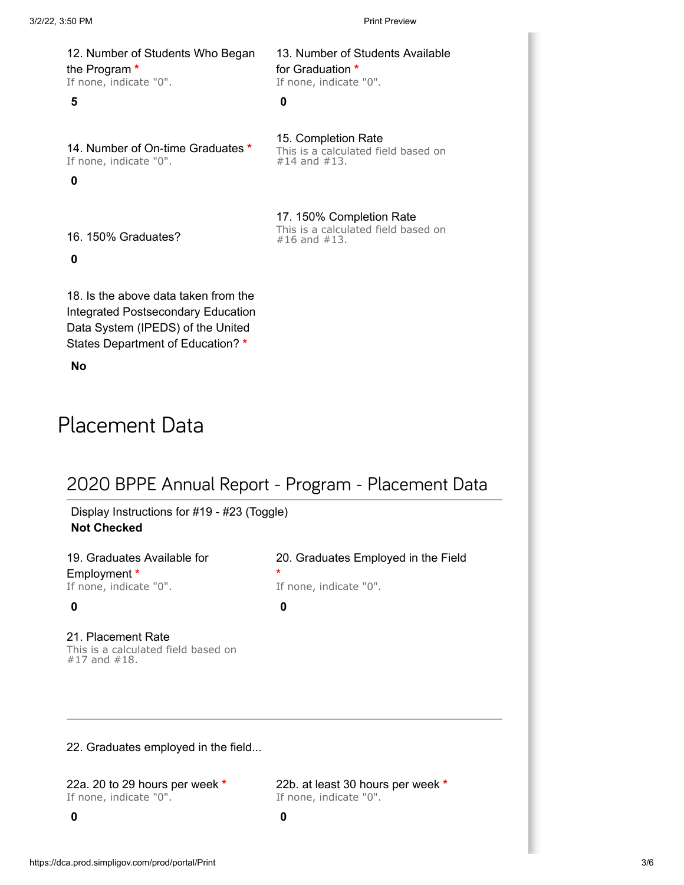12. Number of Students Who Began the Program **\*** If none, indicate "0".

#### **5 0**

14. Number of On-time Graduates **\*** If none, indicate "0".

**0**

15. Completion Rate This is a calculated field based on #14 and #13.

13. Number of Students Available

for Graduation **\*** If none, indicate "0".

17. 150% Completion Rate This is a calculated field based on #16 and #13.

16. 150% Graduates?

**0**

18. Is the above data taken from the Integrated Postsecondary Education Data System (IPEDS) of the United States Department of Education? **\***

**No**

# Placement Data

## 2020 BPPE Annual Report - Program - Placement Data

Display Instructions for #19 - #23 (Toggle) **Not Checked**

19. Graduates Available for Employment **\*** If none, indicate "0".

21. Placement Rate This is a calculated field based on #17 and #18.

20. Graduates Employed in the Field **\***

If none, indicate "0". **0 0**

22. Graduates employed in the field...

22a. 20 to 29 hours per week **\*** If none, indicate "0".

22b. at least 30 hours per week **\*** If none, indicate "0".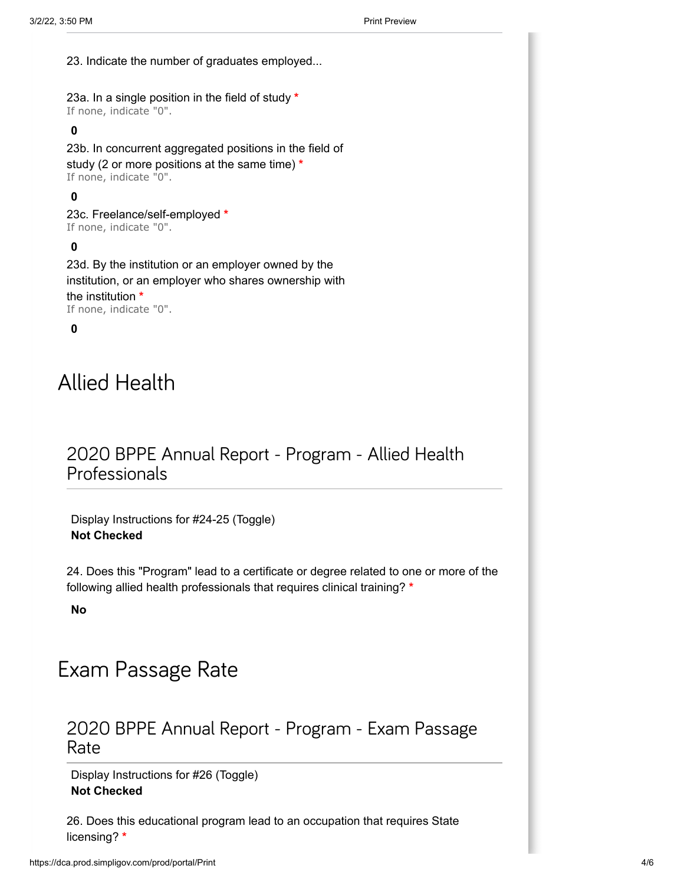23. Indicate the number of graduates employed...

23a. In a single position in the field of study **\*** If none, indicate "0".

### **0**

23b. In concurrent aggregated positions in the field of study (2 or more positions at the same time) **\*** If none, indicate "0".

#### **0**

23c. Freelance/self-employed **\*** If none, indicate "0".

### **0**

23d. By the institution or an employer owned by the institution, or an employer who shares ownership with the institution **\*** If none, indicate "0".

#### **0**

# Allied Health

## 2020 BPPE Annual Report - Program - Allied Health Professionals

Display Instructions for #24-25 (Toggle) **Not Checked**

24. Does this "Program" lead to a certificate or degree related to one or more of the following allied health professionals that requires clinical training? **\***

**No**

# Exam Passage Rate

### 2020 BPPE Annual Report - Program - Exam Passage Rate

Display Instructions for #26 (Toggle) **Not Checked**

26. Does this educational program lead to an occupation that requires State licensing? **\***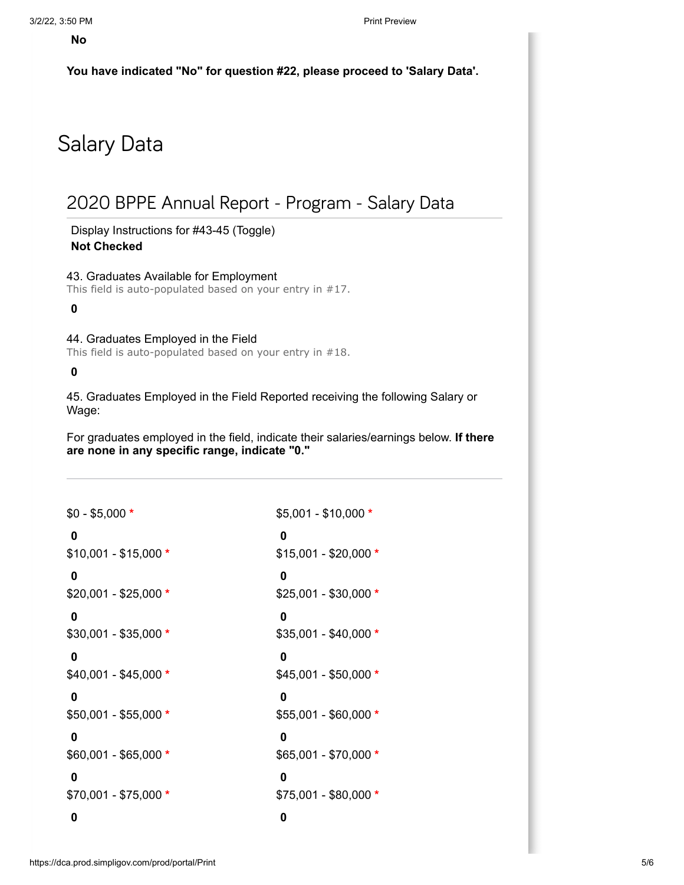**You have indicated "No" for question #22, please proceed to 'Salary Data'.**

# Salary Data

## 2020 BPPE Annual Report - Program - Salary Data

Display Instructions for #43-45 (Toggle) **Not Checked**

43. Graduates Available for Employment This field is auto-populated based on your entry in #17.

**0**

44. Graduates Employed in the Field

This field is auto-populated based on your entry in #18.

**0**

45. Graduates Employed in the Field Reported receiving the following Salary or Wage:

For graduates employed in the field, indicate their salaries/earnings below. **If there are none in any specific range, indicate "0."**

| $$0 - $5,000 *$       | $$5,001 - $10,000 *$  |
|-----------------------|-----------------------|
| 0                     | 0                     |
| $$10,001 - $15,000 *$ | $$15,001 - $20,000 *$ |
| 0                     | 0                     |
| $$20,001 - $25,000 *$ | $$25,001 - $30,000 *$ |
| 0                     | 0                     |
| \$30,001 - \$35,000 * | $$35,001 - $40,000 *$ |
| 0                     | 0                     |
| $$40,001 - $45,000 *$ | $$45,001 - $50,000 *$ |
| 0                     | 0                     |
| $$50,001 - $55,000 *$ | $$55,001 - $60,000 *$ |
| 0                     | 0                     |
| \$60,001 - \$65,000 * | $$65,001 - $70,000 *$ |
| 0                     | 0                     |
| $$70,001 - $75,000 *$ | $$75,001 - $80,000 *$ |
| 0                     | 0                     |